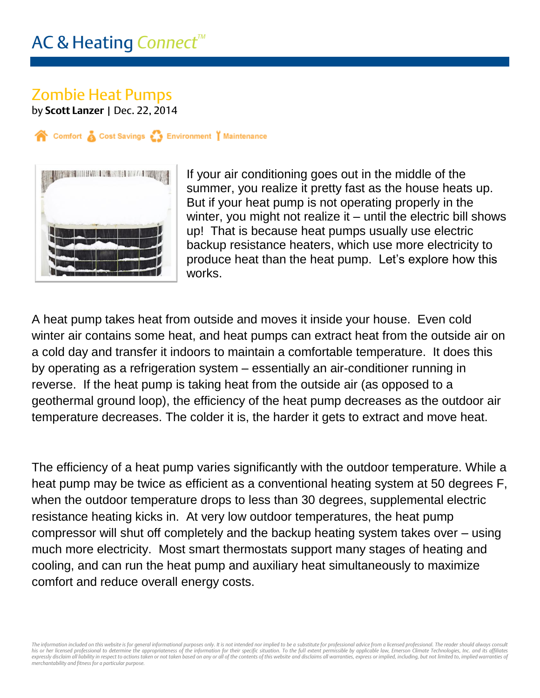## Zombie Heat Pumps

by **Scott Lanzer** | Dec. 22, 2014

Comfort & Cost Savings & Environment | Maintenance



If your air conditioning goes out in the middle of the summer, you realize it pretty fast as the house heats up. But if your heat pump is not operating properly in the winter, you might not realize it – until the electric bill shows up! That is because heat pumps usually use electric backup resistance heaters, which use more electricity to produce heat than the heat pump. Let's explore how this works.

A heat pump takes heat from outside and moves it inside your house. Even cold winter air contains some heat, and heat pumps can extract heat from the outside air on a cold day and transfer it indoors to maintain a comfortable temperature. It does this by operating as a refrigeration system – essentially an air-conditioner running in reverse. If the heat pump is taking heat from the outside air (as opposed to a geothermal ground loop), the efficiency of the heat pump decreases as the outdoor air temperature decreases. The colder it is, the harder it gets to extract and move heat.

The efficiency of a heat pump varies significantly with the outdoor temperature. While a heat pump may be twice as efficient as a conventional heating system at 50 degrees F, when the outdoor temperature drops to less than 30 degrees, supplemental electric resistance heating kicks in. At very low outdoor temperatures, the heat pump compressor will shut off completely and the backup heating system takes over – using much more electricity. Most smart thermostats support many stages of heating and cooling, and can run the heat pump and auxiliary heat simultaneously to maximize comfort and reduce overall energy costs.

The information included on this website is for general informational purposes only. It is not intended nor implied to be a substitute for professional advice from a licensed professional. The reader should always consult his or her licensed professional to determine the appropriateness of the information for their specific situation. To the full extent permissible by applicable law, Emerson Climate Technologies, Inc. and its affiliates<br>exp *merchantability and fitness for a particular purpose.*